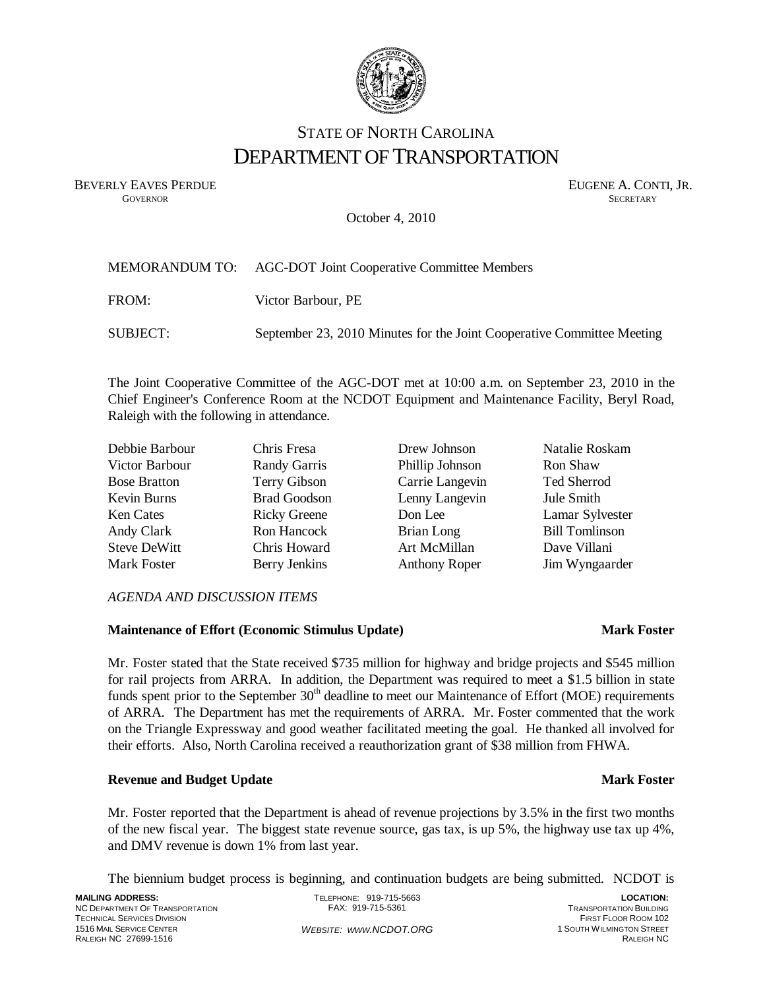

# STATE OF NORTH CAROLINA DEPARTMENT OF TRANSPORTATION

BEVERLY EAVES PERDUE GOVERNOR SECRETARY SUGENE A. CONTI, JR. **GOVERNOR SECRETARY** SECRETARY

October 4, 2010

|          | MEMORANDUM TO: AGC-DOT Joint Cooperative Committee Members             |
|----------|------------------------------------------------------------------------|
| FROM:    | Victor Barbour, PE                                                     |
| SUBJECT: | September 23, 2010 Minutes for the Joint Cooperative Committee Meeting |

The Joint Cooperative Committee of the AGC-DOT met at 10:00 a.m. on September 23, 2010 in the Chief Engineer's Conference Room at the NCDOT Equipment and Maintenance Facility, Beryl Road, Raleigh with the following in attendance.

| Debbie Barbour      | Chris Fresa         | Drew Johnson         | Natalie Roskam        |
|---------------------|---------------------|----------------------|-----------------------|
| Victor Barbour      | Randy Garris        | Phillip Johnson      | Ron Shaw              |
| <b>Bose Bratton</b> | Terry Gibson        | Carrie Langevin      | Ted Sherrod           |
| Kevin Burns         | <b>Brad Goodson</b> | Lenny Langevin       | Jule Smith            |
| Ken Cates           | <b>Ricky Greene</b> | Don Lee              | Lamar Sylvester       |
| Andy Clark          | Ron Hancock         | Brian Long           | <b>Bill Tomlinson</b> |
| <b>Steve DeWitt</b> | Chris Howard        | Art McMillan         | Dave Villani          |
| Mark Foster         | Berry Jenkins       | <b>Anthony Roper</b> | Jim Wyngaarder        |

### *AGENDA AND DISCUSSION ITEMS*

### **Maintenance of Effort (Economic Stimulus Update) Mark Foster Mark Foster**

Mr. Foster stated that the State received \$735 million for highway and bridge projects and \$545 million for rail projects from ARRA. In addition, the Department was required to meet a \$1.5 billion in state funds spent prior to the September 30<sup>th</sup> deadline to meet our Maintenance of Effort (MOE) requirements of ARRA. The Department has met the requirements of ARRA. Mr. Foster commented that the work on the Triangle Expressway and good weather facilitated meeting the goal. He thanked all involved for their efforts. Also, North Carolina received a reauthorization grant of \$38 million from FHWA.

# **Revenue and Budget Update Mark Foster Accord Property Accord Property Accord Property Accord Property Accord Property Accord Property Accord Property Accord Property Accord Property Accord Property Accord Property Accord**

Mr. Foster reported that the Department is ahead of revenue projections by 3.5% in the first two months of the new fiscal year. The biggest state revenue source, gas tax, is up 5%, the highway use tax up 4%, and DMV revenue is down 1% from last year.

The biennium budget process is beginning, and continuation budgets are being submitted. NCDOT is

**MAILING ADDRESS:**  NC DEPARTMENT OF TRANSPORTATION TECHNICAL SERVICES DIVISION 1516 MAIL SERVICE CENTER RALEIGH NC 27699-1516

TELEPHONE: 919-715-5663 FAX: 919-715-5361 WEBSITE: WWW.NCDOT.ORG

**LOCATION:**  TRANSPORTATION BUILDING FIRST FLOOR ROOM 102 1 SOUTH WILMINGTON STREET RALEIGH NC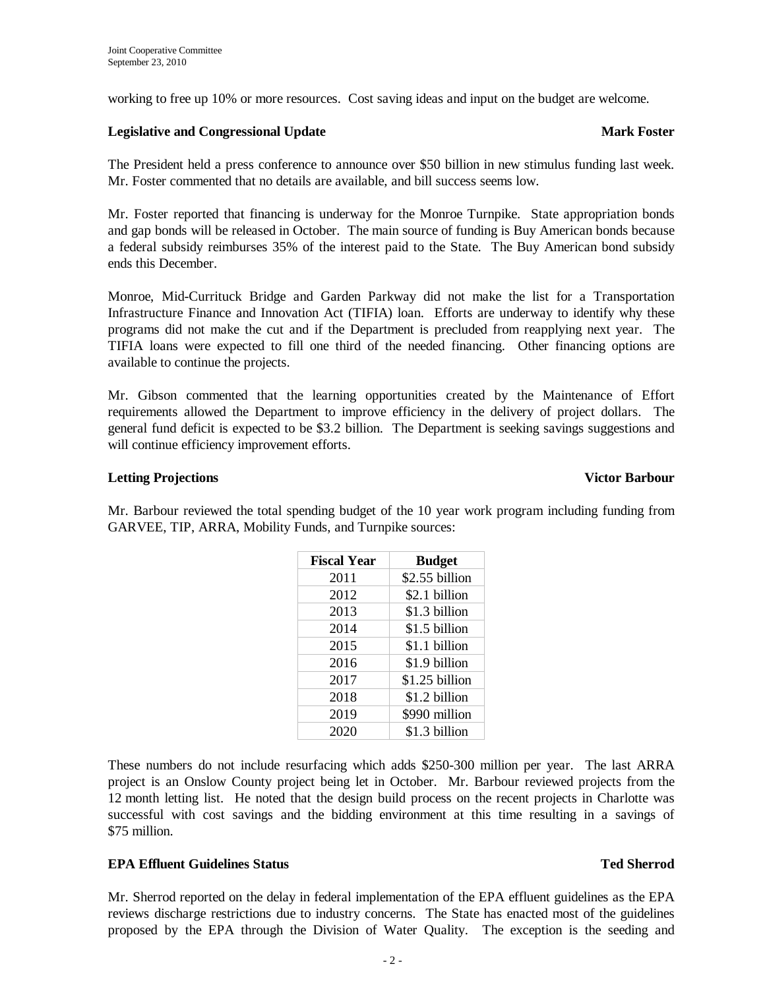working to free up 10% or more resources. Cost saving ideas and input on the budget are welcome.

### **Legislative and Congressional Update Accession Accession Accession Accession Accession Accession Accession Accession Accession Accession Accession Accession Accession Accession Accession Accession Accession Accession Acce**

The President held a press conference to announce over \$50 billion in new stimulus funding last week. Mr. Foster commented that no details are available, and bill success seems low.

Mr. Foster reported that financing is underway for the Monroe Turnpike. State appropriation bonds and gap bonds will be released in October. The main source of funding is Buy American bonds because a federal subsidy reimburses 35% of the interest paid to the State. The Buy American bond subsidy ends this December.

Monroe, Mid-Currituck Bridge and Garden Parkway did not make the list for a Transportation Infrastructure Finance and Innovation Act (TIFIA) loan. Efforts are underway to identify why these programs did not make the cut and if the Department is precluded from reapplying next year. The TIFIA loans were expected to fill one third of the needed financing. Other financing options are available to continue the projects.

Mr. Gibson commented that the learning opportunities created by the Maintenance of Effort requirements allowed the Department to improve efficiency in the delivery of project dollars. The general fund deficit is expected to be \$3.2 billion. The Department is seeking savings suggestions and will continue efficiency improvement efforts.

### **Letting Projections**

Mr. Barbour reviewed the total spending budget of the 10 year work program including funding from GARVEE, TIP, ARRA, Mobility Funds, and Turnpike sources:

> **Fiscal Year Budget** 2011 | \$2.55 billion 2012 | \$2.1 billion 2013 **\$1.3 billion** 2014 \$1.5 billion 2015 | \$1.1 billion 2016 \$1.9 billion 2017 | \$1.25 billion 2018 \$1.2 billion 2019 | \$990 million 2020 \$1.3 billion

| These numbers do not include resurfacing which adds \$250-300 million per year. The last ARRA         |  |
|-------------------------------------------------------------------------------------------------------|--|
| project is an Onslow County project being let in October. Mr. Barbour reviewed projects from the      |  |
| 12 month letting list. He noted that the design build process on the recent projects in Charlotte was |  |
| successful with cost savings and the bidding environment at this time resulting in a savings of       |  |
| \$75 million.                                                                                         |  |

### **EPA Effluent Guidelines Status Ted Sherrod Ted Sherrod Ted Sherrod**

Mr. Sherrod reported on the delay in federal implementation of the EPA effluent guidelines as the EPA reviews discharge restrictions due to industry concerns. The State has enacted most of the guidelines proposed by the EPA through the Division of Water Quality. The exception is the seeding and

| <b>Victor Barbour</b> |
|-----------------------|
|                       |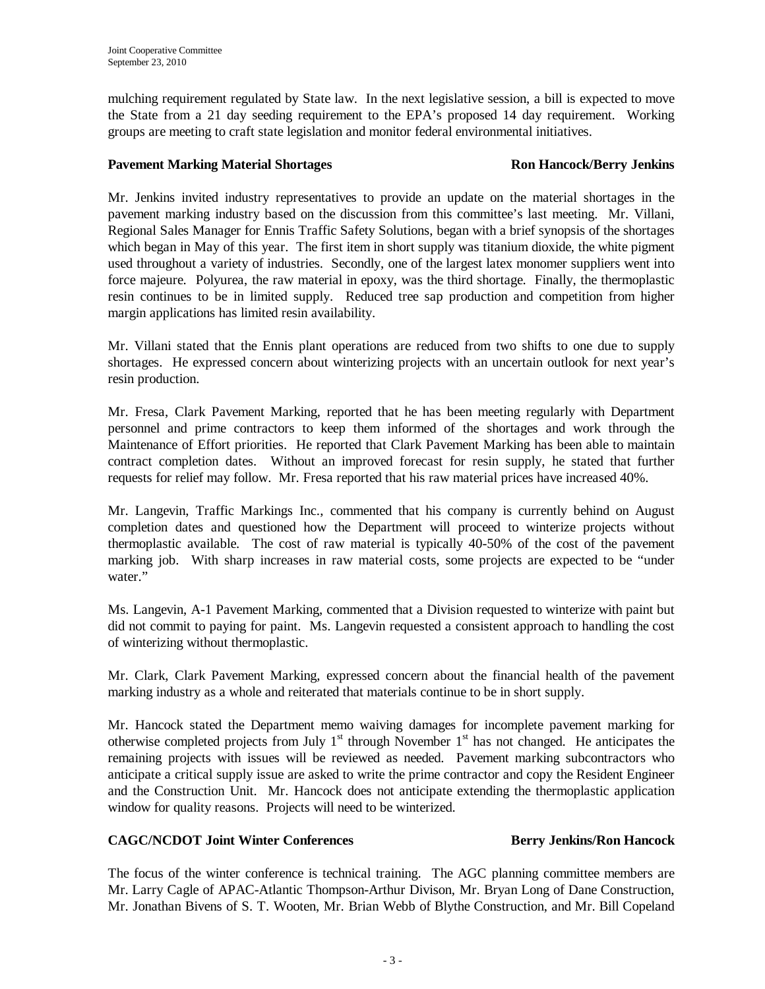mulching requirement regulated by State law. In the next legislative session, a bill is expected to move the State from a 21 day seeding requirement to the EPA's proposed 14 day requirement. Working groups are meeting to craft state legislation and monitor federal environmental initiatives.

### **Pavement Marking Material Shortages The Construction Constraint Ron Hancock/Berry Jenkins**

Mr. Jenkins invited industry representatives to provide an update on the material shortages in the pavement marking industry based on the discussion from this committee's last meeting. Mr. Villani, Regional Sales Manager for Ennis Traffic Safety Solutions, began with a brief synopsis of the shortages which began in May of this year. The first item in short supply was titanium dioxide, the white pigment used throughout a variety of industries. Secondly, one of the largest latex monomer suppliers went into force majeure. Polyurea, the raw material in epoxy, was the third shortage. Finally, the thermoplastic resin continues to be in limited supply. Reduced tree sap production and competition from higher margin applications has limited resin availability.

Mr. Villani stated that the Ennis plant operations are reduced from two shifts to one due to supply shortages. He expressed concern about winterizing projects with an uncertain outlook for next year's resin production.

Mr. Fresa, Clark Pavement Marking, reported that he has been meeting regularly with Department personnel and prime contractors to keep them informed of the shortages and work through the Maintenance of Effort priorities. He reported that Clark Pavement Marking has been able to maintain contract completion dates. Without an improved forecast for resin supply, he stated that further requests for relief may follow. Mr. Fresa reported that his raw material prices have increased 40%.

Mr. Langevin, Traffic Markings Inc., commented that his company is currently behind on August completion dates and questioned how the Department will proceed to winterize projects without thermoplastic available. The cost of raw material is typically 40-50% of the cost of the pavement marking job. With sharp increases in raw material costs, some projects are expected to be "under water."

Ms. Langevin, A-1 Pavement Marking, commented that a Division requested to winterize with paint but did not commit to paying for paint. Ms. Langevin requested a consistent approach to handling the cost of winterizing without thermoplastic.

Mr. Clark, Clark Pavement Marking, expressed concern about the financial health of the pavement marking industry as a whole and reiterated that materials continue to be in short supply.

Mr. Hancock stated the Department memo waiving damages for incomplete pavement marking for otherwise completed projects from July  $1<sup>st</sup>$  through November  $1<sup>st</sup>$  has not changed. He anticipates the remaining projects with issues will be reviewed as needed. Pavement marking subcontractors who anticipate a critical supply issue are asked to write the prime contractor and copy the Resident Engineer and the Construction Unit. Mr. Hancock does not anticipate extending the thermoplastic application window for quality reasons. Projects will need to be winterized.

# **CAGC/NCDOT Joint Winter Conferences Berry Jenkins/Ron Hancock**

The focus of the winter conference is technical training. The AGC planning committee members are Mr. Larry Cagle of APAC-Atlantic Thompson-Arthur Divison, Mr. Bryan Long of Dane Construction, Mr. Jonathan Bivens of S. T. Wooten, Mr. Brian Webb of Blythe Construction, and Mr. Bill Copeland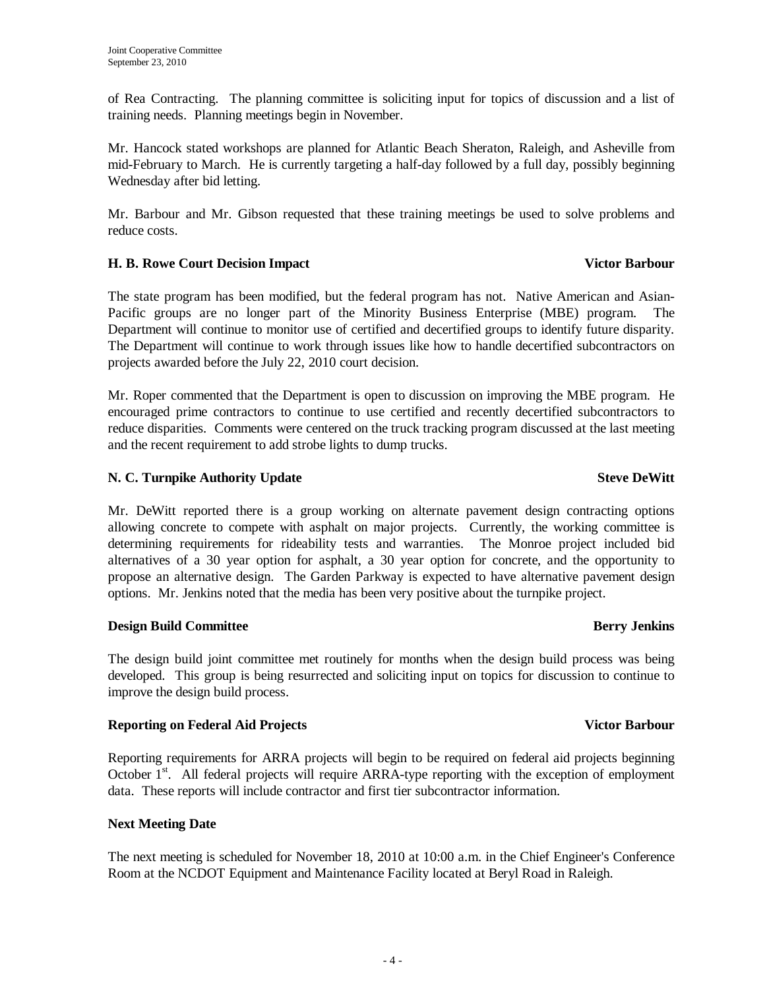of Rea Contracting. The planning committee is soliciting input for topics of discussion and a list of training needs. Planning meetings begin in November.

Mr. Hancock stated workshops are planned for Atlantic Beach Sheraton, Raleigh, and Asheville from mid-February to March. He is currently targeting a half-day followed by a full day, possibly beginning Wednesday after bid letting.

Mr. Barbour and Mr. Gibson requested that these training meetings be used to solve problems and reduce costs.

# **H. B. Rowe Court Decision Impact Contract Contract Contract Contract Contract Contract Contract Contract Contract Contract Contract Contract Contract Contract Contract Contract Contract Contract Contract Contract Contract**

The state program has been modified, but the federal program has not. Native American and Asian-Pacific groups are no longer part of the Minority Business Enterprise (MBE) program. Department will continue to monitor use of certified and decertified groups to identify future disparity. The Department will continue to work through issues like how to handle decertified subcontractors on projects awarded before the July 22, 2010 court decision.

Mr. Roper commented that the Department is open to discussion on improving the MBE program. He encouraged prime contractors to continue to use certified and recently decertified subcontractors to reduce disparities. Comments were centered on the truck tracking program discussed at the last meeting and the recent requirement to add strobe lights to dump trucks.

# **N. C. Turnpike Authority Update Steve DeWitt Steve DeWitt Steve DeWitt**

Mr. DeWitt reported there is a group working on alternate pavement design contracting options allowing concrete to compete with asphalt on major projects. Currently, the working committee is determining requirements for rideability tests and warranties. The Monroe project included bid alternatives of a 30 year option for asphalt, a 30 year option for concrete, and the opportunity to propose an alternative design. The Garden Parkway is expected to have alternative pavement design options. Mr. Jenkins noted that the media has been very positive about the turnpike project.

# **Design Build Committee Berry Jenkins Berry Jenkins**

The design build joint committee met routinely for months when the design build process was being developed. This group is being resurrected and soliciting input on topics for discussion to continue to improve the design build process.

# **Reporting on Federal Aid Projects** And Access 2012 **Victor Barbour Victor Barbour**

Reporting requirements for ARRA projects will begin to be required on federal aid projects beginning October 1<sup>st</sup>. All federal projects will require ARRA-type reporting with the exception of employment data. These reports will include contractor and first tier subcontractor information.

# **Next Meeting Date**

The next meeting is scheduled for November 18, 2010 at 10:00 a.m. in the Chief Engineer's Conference Room at the NCDOT Equipment and Maintenance Facility located at Beryl Road in Raleigh.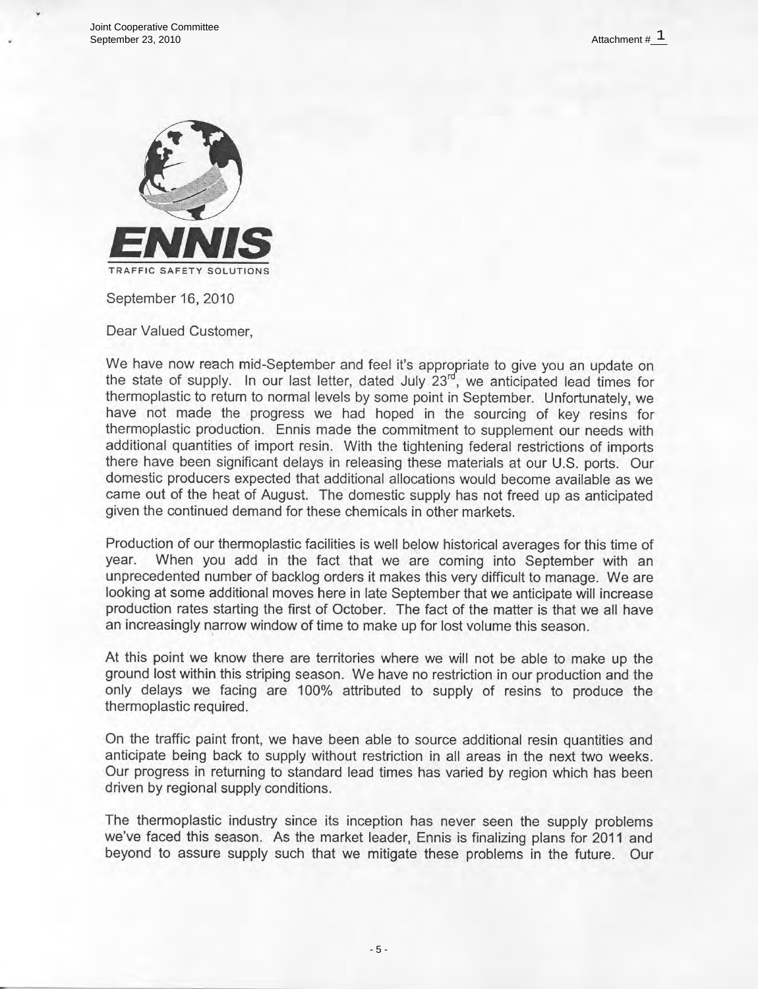Joint Cooperative Committee September 23, 2010



September 16, 2010

Dear Valued Customer,

We have now reach mid-September and feel it's appropriate to give you an update on the state of supply. In our last letter, dated July 23rd, we anticipated lead times for thermoplastic to return to normal levels by some point in September. Unfortunately, we have not made the progress we had hoped in the sourcing of key resins for thermoplastic production. Ennis made the commitment to supplement our needs with additional quantities of import resin. With the tightening federal restrictions of imports there have been significant delays in releasing these materials at our U.S. ports. Our domestic producers expected that additional allocations would become available as we came out of the heat of August. The domestic supply has not freed up as anticipated given the continued demand for these chemicals in other markets.

Production of our thermoplastic facilities is well below historical averages for this time of vear. When you add in the fact that we are coming into September with an unprecedented number of backlog orders it makes this very difficult to manage. We are looking at some additional moves here in late September that we anticipate will increase production rates starting the first of October. The fact of the matter is that we all have an increasingly narrow window of time to make up for lost volume this season.

At this point we know there are territories where we will not be able to make up the ground lost within this striping season. We have no restriction in our production and the only delays we facing are 100% attributed to supply of resins to produce the thermoplastic required.

On the traffic paint front, we have been able to source additional resin quantities and anticipate being back to supply without restriction in all areas in the next two weeks. Our progress in returning to standard lead times has varied by region which has been driven by regional supply conditions.

The thermoplastic industry since its inception has never seen the supply problems we've faced this season. As the market leader, Ennis is finalizing plans for 2011 and beyond to assure supply such that we mitigate these problems in the future. Our